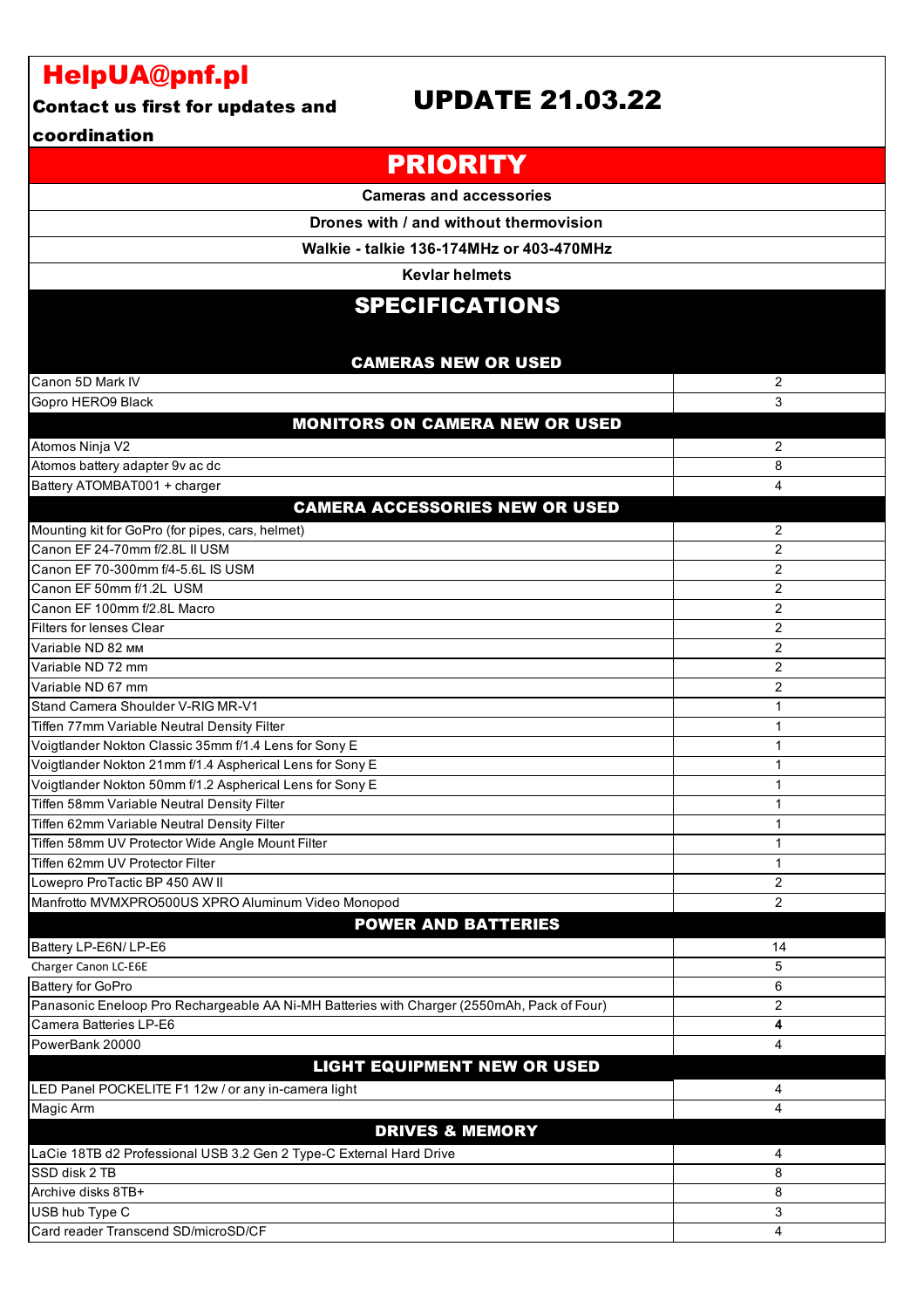# HelpUA@pnf.pl

#### Contact us first for updates and

### UPDATE 21.03.22

#### coordination

| <b>PRIORITY</b>                                                                                                      |                |
|----------------------------------------------------------------------------------------------------------------------|----------------|
| <b>Cameras and accessories</b>                                                                                       |                |
| Drones with / and without thermovision                                                                               |                |
| Walkie - talkie 136-174MHz or 403-470MHz                                                                             |                |
| <b>Kevlar helmets</b>                                                                                                |                |
|                                                                                                                      |                |
| <b>SPECIFICATIONS</b>                                                                                                |                |
|                                                                                                                      |                |
| <b>CAMERAS NEW OR USED</b>                                                                                           |                |
| Canon 5D Mark IV                                                                                                     | 2              |
| Gopro HERO9 Black                                                                                                    | 3              |
| <b>MONITORS ON CAMERA NEW OR USED</b>                                                                                |                |
| Atomos Ninja V2                                                                                                      | 2              |
| Atomos battery adapter 9v ac dc                                                                                      | 8              |
| Battery ATOMBAT001 + charger                                                                                         | 4              |
| <b>CAMERA ACCESSORIES NEW OR USED</b>                                                                                |                |
| Mounting kit for GoPro (for pipes, cars, helmet)                                                                     | 2              |
| Canon EF 24-70mm f/2.8L II USM                                                                                       | $\overline{2}$ |
| Canon EF 70-300mm f/4-5.6L IS USM                                                                                    | $\overline{2}$ |
| Canon EF 50mm f/1.2L USM                                                                                             | 2              |
| Canon EF 100mm f/2.8L Macro                                                                                          | $\overline{2}$ |
| Filters for lenses Clear                                                                                             | $\overline{2}$ |
| Variable ND 82 MM                                                                                                    | $\overline{2}$ |
| Variable ND 72 mm                                                                                                    | $\overline{2}$ |
| Variable ND 67 mm                                                                                                    | $\overline{2}$ |
| Stand Camera Shoulder V-RIG MR-V1                                                                                    | $\mathbf{1}$   |
| Tiffen 77mm Variable Neutral Density Filter                                                                          | 1              |
| Voigtlander Nokton Classic 35mm f/1.4 Lens for Sony E                                                                | 1              |
| Voigtlander Nokton 21mm f/1.4 Aspherical Lens for Sony E<br>Voigtlander Nokton 50mm f/1.2 Aspherical Lens for Sony E | 1<br>1         |
| Tiffen 58mm Variable Neutral Density Filter                                                                          | 1              |
| Tiffen 62mm Variable Neutral Density Filter                                                                          | 1              |
| Tiffen 58mm UV Protector Wide Angle Mount Filter                                                                     | $\mathbf{1}$   |
| Tiffen 62mm UV Protector Filter                                                                                      | 1              |
| Lowepro ProTactic BP 450 AW II                                                                                       | 2              |
| Manfrotto MVMXPRO500US XPRO Aluminum Video Monopod                                                                   | $\overline{2}$ |
| <b>POWER AND BATTERIES</b>                                                                                           |                |
| Battery LP-E6N/ LP-E6                                                                                                | 14             |
| Charger Canon LC-E6E                                                                                                 | 5              |
| Battery for GoPro                                                                                                    | 6              |
| Panasonic Eneloop Pro Rechargeable AA Ni-MH Batteries with Charger (2550mAh, Pack of Four)                           | $\overline{2}$ |
| Camera Batteries LP-E6                                                                                               | 4              |
| PowerBank 20000                                                                                                      | 4              |
| <b>LIGHT EQUIPMENT NEW OR USED</b>                                                                                   |                |
| LED Panel POCKELITE F1 12w / or any in-camera light                                                                  | 4              |
| Magic Arm                                                                                                            | 4              |
| <b>DRIVES &amp; MEMORY</b>                                                                                           |                |
| LaCie 18TB d2 Professional USB 3.2 Gen 2 Type-C External Hard Drive                                                  | 4              |
| SSD disk 2 TB                                                                                                        | 8              |
| Archive disks 8TB+                                                                                                   | 8              |
| USB hub Type C                                                                                                       | 3              |
| Card reader Transcend SD/microSD/CF                                                                                  | 4              |